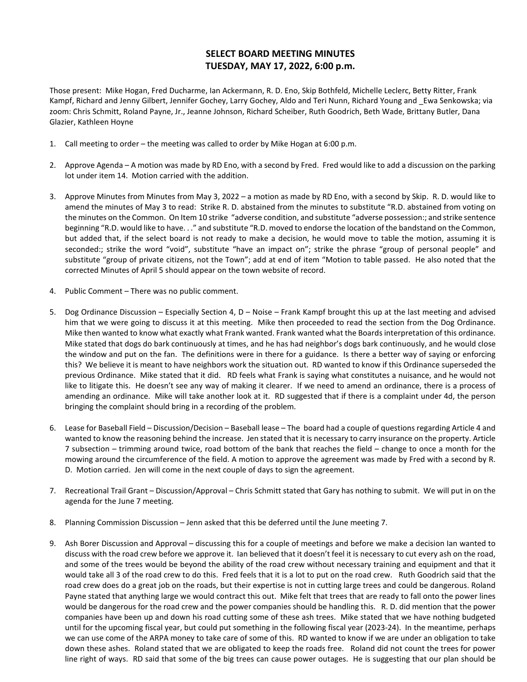## **SELECT BOARD MEETING MINUTES TUESDAY, MAY 17, 2022, 6:00 p.m.**

Those present: Mike Hogan, Fred Ducharme, Ian Ackermann, R. D. Eno, Skip Bothfeld, Michelle Leclerc, Betty Ritter, Frank Kampf, Richard and Jenny Gilbert, Jennifer Gochey, Larry Gochey, Aldo and Teri Nunn, Richard Young and \_Ewa Senkowska; via zoom: Chris Schmitt, Roland Payne, Jr., Jeanne Johnson, Richard Scheiber, Ruth Goodrich, Beth Wade, Brittany Butler, Dana Glazier, Kathleen Hoyne

- 1. Call meeting to order the meeting was called to order by Mike Hogan at 6:00 p.m.
- 2. Approve Agenda A motion was made by RD Eno, with a second by Fred. Fred would like to add a discussion on the parking lot under item 14. Motion carried with the addition.
- 3. Approve Minutes from Minutes from May 3, 2022 a motion as made by RD Eno, with a second by Skip. R. D. would like to amend the minutes of May 3 to read: Strike R. D. abstained from the minutes to substitute "R.D. abstained from voting on the minutes on the Common. On Item 10 strike "adverse condition, and substitute "adverse possession:; and strike sentence beginning "R.D. would like to have. . ." and substitute "R.D. moved to endorse the location of the bandstand on the Common, but added that, if the select board is not ready to make a decision, he would move to table the motion, assuming it is seconded:; strike the word "void", substitute "have an impact on"; strike the phrase "group of personal people" and substitute "group of private citizens, not the Town"; add at end of item "Motion to table passed. He also noted that the corrected Minutes of April 5 should appear on the town website of record.
- 4. Public Comment There was no public comment.
- 5. Dog Ordinance Discussion Especially Section 4, D Noise Frank Kampf brought this up at the last meeting and advised him that we were going to discuss it at this meeting. Mike then proceeded to read the section from the Dog Ordinance. Mike then wanted to know what exactly what Frank wanted. Frank wanted what the Boards interpretation of this ordinance. Mike stated that dogs do bark continuously at times, and he has had neighbor's dogs bark continuously, and he would close the window and put on the fan. The definitions were in there for a guidance. Is there a better way of saying or enforcing this? We believe it is meant to have neighbors work the situation out. RD wanted to know if this Ordinance superseded the previous Ordinance. Mike stated that it did. RD feels what Frank is saying what constitutes a nuisance, and he would not like to litigate this. He doesn't see any way of making it clearer. If we need to amend an ordinance, there is a process of amending an ordinance. Mike will take another look at it. RD suggested that if there is a complaint under 4d, the person bringing the complaint should bring in a recording of the problem.
- 6. Lease for Baseball Field Discussion/Decision Baseball lease The board had a couple of questions regarding Article 4 and wanted to know the reasoning behind the increase. Jen stated that it is necessary to carry insurance on the property. Article 7 subsection – trimming around twice, road bottom of the bank that reaches the field – change to once a month for the mowing around the circumference of the field. A motion to approve the agreement was made by Fred with a second by R. D. Motion carried. Jen will come in the next couple of days to sign the agreement.
- 7. Recreational Trail Grant Discussion/Approval Chris Schmitt stated that Gary has nothing to submit. We will put in on the agenda for the June 7 meeting.
- 8. Planning Commission Discussion Jenn asked that this be deferred until the June meeting 7.
- 9. Ash Borer Discussion and Approval discussing this for a couple of meetings and before we make a decision Ian wanted to discuss with the road crew before we approve it. Ian believed that it doesn't feel it is necessary to cut every ash on the road, and some of the trees would be beyond the ability of the road crew without necessary training and equipment and that it would take all 3 of the road crew to do this. Fred feels that it is a lot to put on the road crew. Ruth Goodrich said that the road crew does do a great job on the roads, but their expertise is not in cutting large trees and could be dangerous. Roland Payne stated that anything large we would contract this out. Mike felt that trees that are ready to fall onto the power lines would be dangerous for the road crew and the power companies should be handling this. R. D. did mention that the power companies have been up and down his road cutting some of these ash trees. Mike stated that we have nothing budgeted until for the upcoming fiscal year, but could put something in the following fiscal year (2023-24). In the meantime, perhaps we can use come of the ARPA money to take care of some of this. RD wanted to know if we are under an obligation to take down these ashes. Roland stated that we are obligated to keep the roads free. Roland did not count the trees for power line right of ways. RD said that some of the big trees can cause power outages. He is suggesting that our plan should be